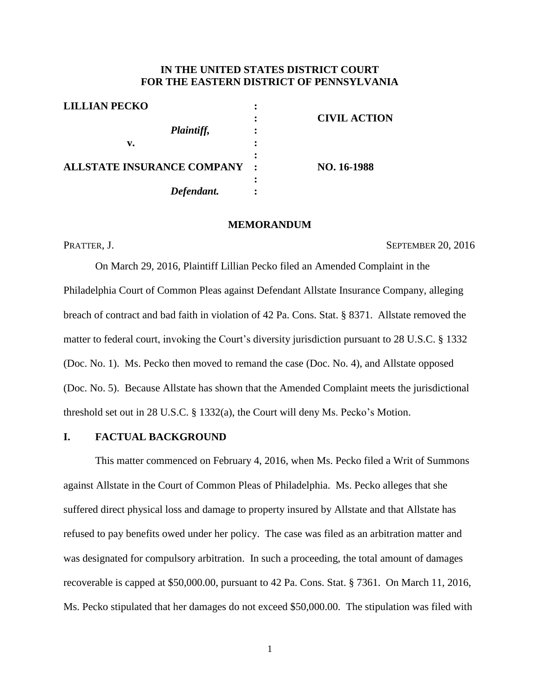# **IN THE UNITED STATES DISTRICT COURT FOR THE EASTERN DISTRICT OF PENNSYLVANIA**

| <b>LILLIAN PECKO</b>              | ٠                    |                     |
|-----------------------------------|----------------------|---------------------|
|                                   | $\bullet$            | <b>CIVIL ACTION</b> |
| <i>Plaintiff,</i>                 | ٠                    |                     |
| v.                                |                      |                     |
|                                   |                      |                     |
| <b>ALLSTATE INSURANCE COMPANY</b> | $\ddot{\phantom{0}}$ | NO. 16-1988         |
|                                   |                      |                     |
| Defendant.                        |                      |                     |
|                                   |                      |                     |

### **MEMORANDUM**

PRATTER, J. SEPTEMBER 20, 2016

On March 29, 2016, Plaintiff Lillian Pecko filed an Amended Complaint in the Philadelphia Court of Common Pleas against Defendant Allstate Insurance Company, alleging breach of contract and bad faith in violation of 42 Pa. Cons. Stat. § 8371. Allstate removed the matter to federal court, invoking the Court's diversity jurisdiction pursuant to 28 U.S.C. § 1332 (Doc. No. 1). Ms. Pecko then moved to remand the case (Doc. No. 4), and Allstate opposed (Doc. No. 5). Because Allstate has shown that the Amended Complaint meets the jurisdictional threshold set out in 28 U.S.C. § 1332(a), the Court will deny Ms. Pecko's Motion.

# **I. FACTUAL BACKGROUND**

This matter commenced on February 4, 2016, when Ms. Pecko filed a Writ of Summons against Allstate in the Court of Common Pleas of Philadelphia. Ms. Pecko alleges that she suffered direct physical loss and damage to property insured by Allstate and that Allstate has refused to pay benefits owed under her policy. The case was filed as an arbitration matter and was designated for compulsory arbitration. In such a proceeding, the total amount of damages recoverable is capped at \$50,000.00, pursuant to 42 Pa. Cons. Stat. § 7361. On March 11, 2016, Ms. Pecko stipulated that her damages do not exceed \$50,000.00. The stipulation was filed with

1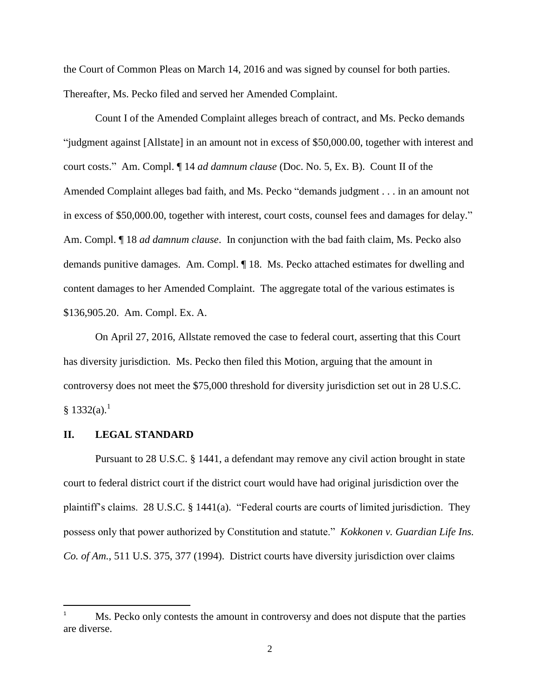the Court of Common Pleas on March 14, 2016 and was signed by counsel for both parties. Thereafter, Ms. Pecko filed and served her Amended Complaint.

Count I of the Amended Complaint alleges breach of contract, and Ms. Pecko demands "judgment against [Allstate] in an amount not in excess of \$50,000.00, together with interest and court costs." Am. Compl. ¶ 14 *ad damnum clause* (Doc. No. 5, Ex. B). Count II of the Amended Complaint alleges bad faith, and Ms. Pecko "demands judgment . . . in an amount not in excess of \$50,000.00, together with interest, court costs, counsel fees and damages for delay." Am. Compl. ¶ 18 *ad damnum clause*. In conjunction with the bad faith claim, Ms. Pecko also demands punitive damages. Am. Compl. ¶ 18. Ms. Pecko attached estimates for dwelling and content damages to her Amended Complaint. The aggregate total of the various estimates is \$136,905.20. Am. Compl. Ex. A.

On April 27, 2016, Allstate removed the case to federal court, asserting that this Court has diversity jurisdiction. Ms. Pecko then filed this Motion, arguing that the amount in controversy does not meet the \$75,000 threshold for diversity jurisdiction set out in 28 U.S.C.  $§ 1332(a).<sup>1</sup>$ 

### **II. LEGAL STANDARD**

l

Pursuant to 28 U.S.C. § 1441, a defendant may remove any civil action brought in state court to federal district court if the district court would have had original jurisdiction over the plaintiff's claims. 28 U.S.C. § 1441(a). "Federal courts are courts of limited jurisdiction. They possess only that power authorized by Constitution and statute." *Kokkonen v. Guardian Life Ins. Co. of Am.*, 511 U.S. 375, 377 (1994). District courts have diversity jurisdiction over claims

Ms. Pecko only contests the amount in controversy and does not dispute that the parties are diverse.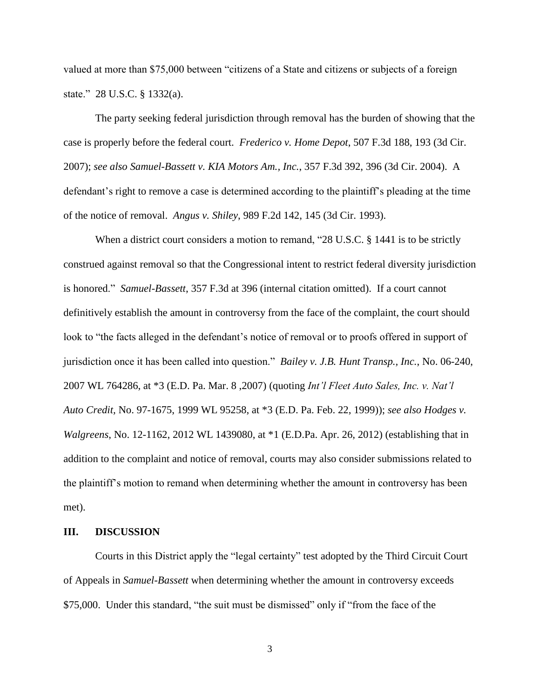valued at more than \$75,000 between "citizens of a State and citizens or subjects of a foreign state." 28 U.S.C. § 1332(a).

The party seeking federal jurisdiction through removal has the burden of showing that the case is properly before the federal court. *Frederico v. Home Depot*, 507 F.3d 188, 193 (3d Cir. 2007); *see also Samuel-Bassett v. KIA Motors Am., Inc.*, 357 F.3d 392, 396 (3d Cir. 2004). A defendant's right to remove a case is determined according to the plaintiff's pleading at the time of the notice of removal. *Angus v. Shiley*, 989 F.2d 142, 145 (3d Cir. 1993).

When a district court considers a motion to remand, "28 U.S.C. § 1441 is to be strictly construed against removal so that the Congressional intent to restrict federal diversity jurisdiction is honored." *Samuel-Bassett*, 357 F.3d at 396 (internal citation omitted). If a court cannot definitively establish the amount in controversy from the face of the complaint, the court should look to "the facts alleged in the defendant's notice of removal or to proofs offered in support of jurisdiction once it has been called into question." *Bailey v. J.B. Hunt Transp., Inc.*, No. 06-240, 2007 WL 764286, at \*3 (E.D. Pa. Mar. 8 ,2007) (quoting *Int'l Fleet Auto Sales, Inc. v. Nat'l Auto Credit,* No. 97-1675, 1999 WL 95258, at \*3 (E.D. Pa. Feb. 22, 1999)); *see also Hodges v. Walgreens*, No. 12-1162, 2012 WL 1439080, at \*1 (E.D.Pa. Apr. 26, 2012) (establishing that in addition to the complaint and notice of removal, courts may also consider submissions related to the plaintiff's motion to remand when determining whether the amount in controversy has been met).

### **III. DISCUSSION**

Courts in this District apply the "legal certainty" test adopted by the Third Circuit Court of Appeals in *Samuel-Bassett* when determining whether the amount in controversy exceeds \$75,000. Under this standard, "the suit must be dismissed" only if "from the face of the

3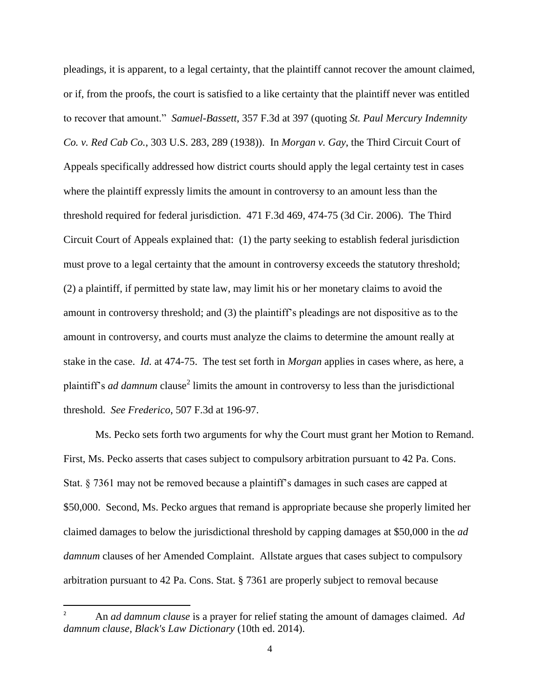pleadings, it is apparent, to a legal certainty, that the plaintiff cannot recover the amount claimed, or if, from the proofs, the court is satisfied to a like certainty that the plaintiff never was entitled to recover that amount." *Samuel-Bassett*, 357 F.3d at 397 (quoting *St. Paul Mercury Indemnity Co. v. Red Cab Co.*, 303 U.S. 283, 289 (1938)). In *Morgan v. Gay*, the Third Circuit Court of Appeals specifically addressed how district courts should apply the legal certainty test in cases where the plaintiff expressly limits the amount in controversy to an amount less than the threshold required for federal jurisdiction. 471 F.3d 469, 474-75 (3d Cir. 2006). The Third Circuit Court of Appeals explained that: (1) the party seeking to establish federal jurisdiction must prove to a legal certainty that the amount in controversy exceeds the statutory threshold; (2) a plaintiff, if permitted by state law, may limit his or her monetary claims to avoid the amount in controversy threshold; and (3) the plaintiff's pleadings are not dispositive as to the amount in controversy, and courts must analyze the claims to determine the amount really at stake in the case. *Id.* at 474-75. The test set forth in *Morgan* applies in cases where, as here, a plaintiff's *ad damnum* clause<sup>2</sup> limits the amount in controversy to less than the jurisdictional threshold. *See Frederico*, 507 F.3d at 196-97.

Ms. Pecko sets forth two arguments for why the Court must grant her Motion to Remand. First, Ms. Pecko asserts that cases subject to compulsory arbitration pursuant to 42 Pa. Cons. Stat. § 7361 may not be removed because a plaintiff's damages in such cases are capped at \$50,000. Second, Ms. Pecko argues that remand is appropriate because she properly limited her claimed damages to below the jurisdictional threshold by capping damages at \$50,000 in the *ad damnum* clauses of her Amended Complaint. Allstate argues that cases subject to compulsory arbitration pursuant to 42 Pa. Cons. Stat. § 7361 are properly subject to removal because

l

<sup>2</sup> An *ad damnum clause* is a prayer for relief stating the amount of damages claimed. *Ad damnum clause, Black's Law Dictionary* (10th ed. 2014).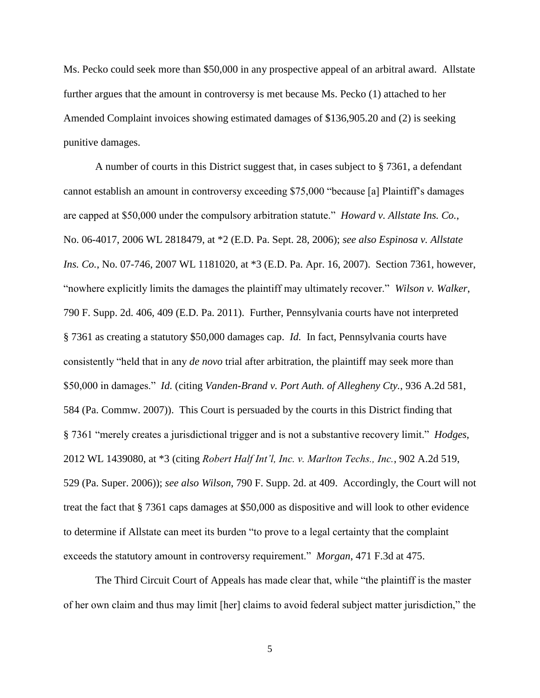Ms. Pecko could seek more than \$50,000 in any prospective appeal of an arbitral award. Allstate further argues that the amount in controversy is met because Ms. Pecko (1) attached to her Amended Complaint invoices showing estimated damages of \$136,905.20 and (2) is seeking punitive damages.

A number of courts in this District suggest that, in cases subject to § 7361, a defendant cannot establish an amount in controversy exceeding \$75,000 "because [a] Plaintiff's damages are capped at \$50,000 under the compulsory arbitration statute." *Howard v. Allstate Ins. Co.*, No. 06-4017, 2006 WL 2818479, at \*2 (E.D. Pa. Sept. 28, 2006); *see also Espinosa v. Allstate Ins. Co.*, No. 07-746, 2007 WL 1181020, at \*3 (E.D. Pa. Apr. 16, 2007). Section 7361, however, "nowhere explicitly limits the damages the plaintiff may ultimately recover." *Wilson v. Walker*, 790 F. Supp. 2d. 406, 409 (E.D. Pa. 2011). Further, Pennsylvania courts have not interpreted § 7361 as creating a statutory \$50,000 damages cap. *Id.* In fact, Pennsylvania courts have consistently "held that in any *de novo* trial after arbitration, the plaintiff may seek more than \$50,000 in damages." *Id.* (citing *Vanden-Brand v. Port Auth. of Allegheny Cty.*, 936 A.2d 581, 584 (Pa. Commw. 2007)). This Court is persuaded by the courts in this District finding that § 7361 "merely creates a jurisdictional trigger and is not a substantive recovery limit." *Hodges*, 2012 WL 1439080, at \*3 (citing *Robert Half Int'l, Inc. v. Marlton Techs., Inc.*, 902 A.2d 519, 529 (Pa. Super. 2006)); *see also Wilson*, 790 F. Supp. 2d. at 409. Accordingly, the Court will not treat the fact that § 7361 caps damages at \$50,000 as dispositive and will look to other evidence to determine if Allstate can meet its burden "to prove to a legal certainty that the complaint exceeds the statutory amount in controversy requirement." *Morgan*, 471 F.3d at 475.

The Third Circuit Court of Appeals has made clear that, while "the plaintiff is the master of her own claim and thus may limit [her] claims to avoid federal subject matter jurisdiction," the

5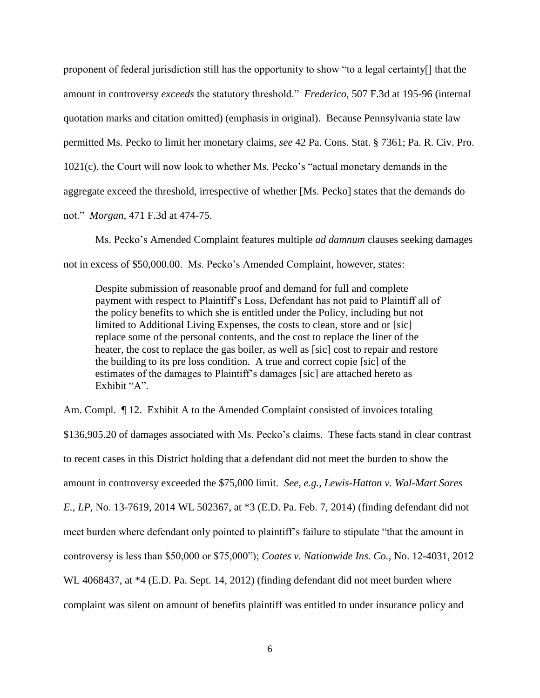proponent of federal jurisdiction still has the opportunity to show "to a legal certainty[] that the amount in controversy *exceeds* the statutory threshold." *Frederico*, 507 F.3d at 195-96 (internal quotation marks and citation omitted) (emphasis in original). Because Pennsylvania state law permitted Ms. Pecko to limit her monetary claims, *see* 42 Pa. Cons. Stat. § 7361; Pa. R. Civ. Pro. 1021(c), the Court will now look to whether Ms. Pecko's "actual monetary demands in the aggregate exceed the threshold, irrespective of whether [Ms. Pecko] states that the demands do not." *Morgan*, 471 F.3d at 474-75.

Ms. Pecko's Amended Complaint features multiple *ad damnum* clauses seeking damages not in excess of \$50,000.00. Ms. Pecko's Amended Complaint, however, states:

Despite submission of reasonable proof and demand for full and complete payment with respect to Plaintiff's Loss, Defendant has not paid to Plaintiff all of the policy benefits to which she is entitled under the Policy, including but not limited to Additional Living Expenses, the costs to clean, store and or [sic] replace some of the personal contents, and the cost to replace the liner of the heater, the cost to replace the gas boiler, as well as [sic] cost to repair and restore the building to its pre loss condition. A true and correct copie [sic] of the estimates of the damages to Plaintiff's damages [sic] are attached hereto as Exhibit "A"

Am. Compl.  $\P$  12. Exhibit A to the Amended Complaint consisted of invoices totaling \$136,905.20 of damages associated with Ms. Pecko's claims. These facts stand in clear contrast to recent cases in this District holding that a defendant did not meet the burden to show the amount in controversy exceeded the \$75,000 limit. *See, e.g.*, *Lewis-Hatton v. Wal-Mart Sores E., LP*, No. 13-7619, 2014 WL 502367, at \*3 (E.D. Pa. Feb. 7, 2014) (finding defendant did not meet burden where defendant only pointed to plaintiff's failure to stipulate "that the amount in controversy is less than \$50,000 or \$75,000"); *Coates v. Nationwide Ins. Co.*, No. 12-4031, 2012 WL 4068437, at \*4 (E.D. Pa. Sept. 14, 2012) (finding defendant did not meet burden where complaint was silent on amount of benefits plaintiff was entitled to under insurance policy and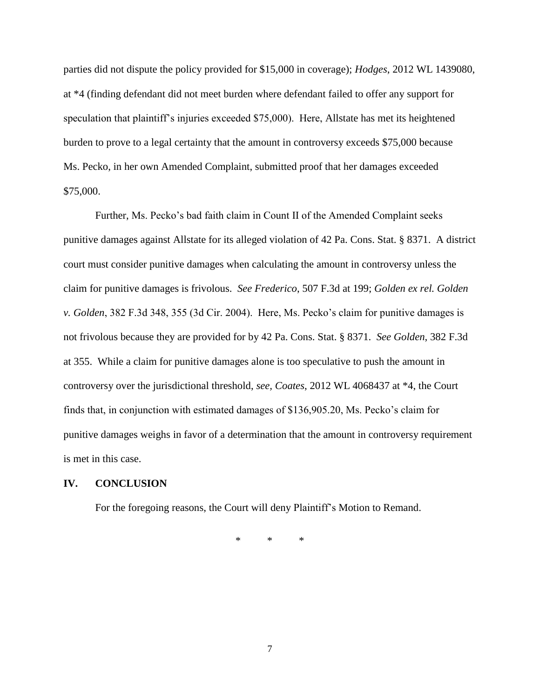parties did not dispute the policy provided for \$15,000 in coverage); *Hodges*, 2012 WL 1439080, at \*4 (finding defendant did not meet burden where defendant failed to offer any support for speculation that plaintiff's injuries exceeded \$75,000). Here, Allstate has met its heightened burden to prove to a legal certainty that the amount in controversy exceeds \$75,000 because Ms. Pecko, in her own Amended Complaint, submitted proof that her damages exceeded \$75,000.

Further, Ms. Pecko's bad faith claim in Count II of the Amended Complaint seeks punitive damages against Allstate for its alleged violation of 42 Pa. Cons. Stat. § 8371. A district court must consider punitive damages when calculating the amount in controversy unless the claim for punitive damages is frivolous. *See Frederico*, 507 F.3d at 199; *Golden ex rel. Golden v. Golden*, 382 F.3d 348, 355 (3d Cir. 2004). Here, Ms. Pecko's claim for punitive damages is not frivolous because they are provided for by 42 Pa. Cons. Stat. § 8371. *See Golden*, 382 F.3d at 355. While a claim for punitive damages alone is too speculative to push the amount in controversy over the jurisdictional threshold, *see, Coates*, 2012 WL 4068437 at \*4, the Court finds that, in conjunction with estimated damages of \$136,905.20, Ms. Pecko's claim for punitive damages weighs in favor of a determination that the amount in controversy requirement is met in this case.

#### **IV. CONCLUSION**

For the foregoing reasons, the Court will deny Plaintiff's Motion to Remand.

\* \* \*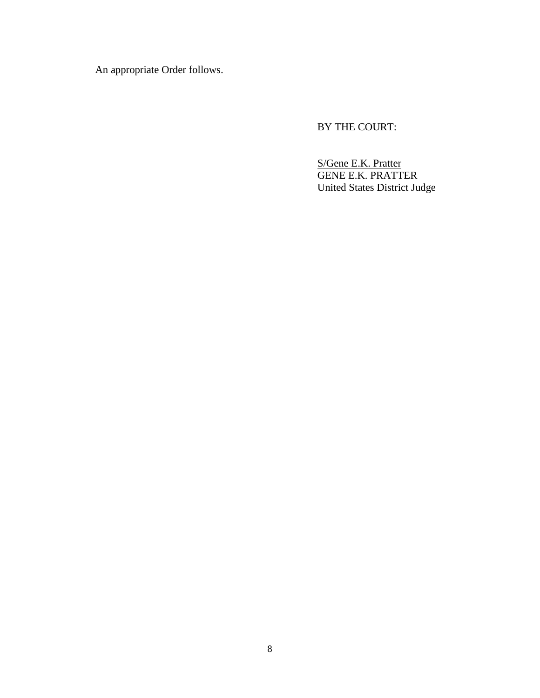An appropriate Order follows.

BY THE COURT:

S/Gene E.K. Pratter GENE E.K. PRATTER United States District Judge